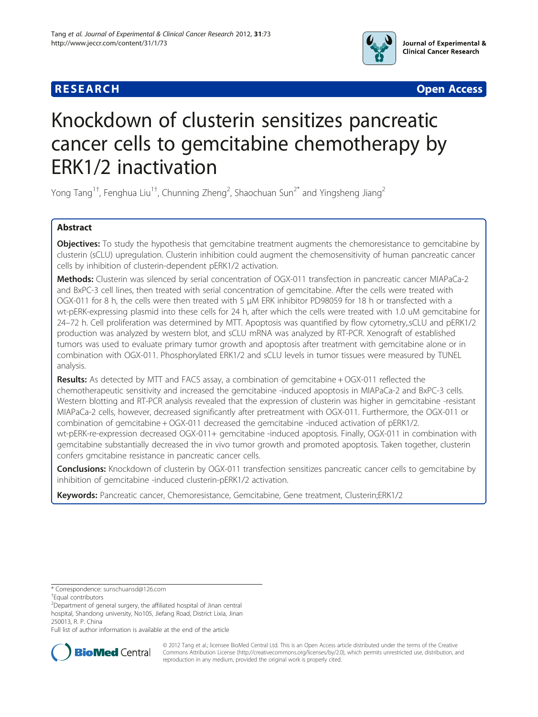



# Knockdown of clusterin sensitizes pancreatic cancer cells to gemcitabine chemotherapy by ERK1/2 inactivation

Yong Tang $^{\rm 1\dagger}$ , Fenghua Liu $^{\rm 1\dagger}$ , Chunning Zheng $^2$ , Shaochuan Sun $^{\rm 2^\ast}$  and Yingsheng Jiang $^{\rm 2}$ 

# Abstract

Objectives: To study the hypothesis that gemcitabine treatment augments the chemoresistance to gemcitabine by clusterin (sCLU) upregulation. Clusterin inhibition could augment the chemosensitivity of human pancreatic cancer cells by inhibition of clusterin-dependent pERK1/2 activation.

Methods: Clusterin was silenced by serial concentration of OGX-011 transfection in pancreatic cancer MIAPaCa-2 and BxPC-3 cell lines, then treated with serial concentration of gemcitabine. After the cells were treated with OGX-011 for 8 h, the cells were then treated with 5 μM ERK inhibitor PD98059 for 18 h or transfected with a wt-pERK-expressing plasmid into these cells for 24 h, after which the cells were treated with 1.0 uM gemcitabine for 24–72 h. Cell proliferation was determined by MTT. Apoptosis was quantified by flow cytometry,.sCLU and pERK1/2 production was analyzed by western blot, and sCLU mRNA was analyzed by RT-PCR. Xenograft of established tumors was used to evaluate primary tumor growth and apoptosis after treatment with gemcitabine alone or in combination with OGX-011. Phosphorylated ERK1/2 and sCLU levels in tumor tissues were measured by TUNEL analysis.

**Results:** As detected by MTT and FACS assay, a combination of gemcitabine + OGX-011 reflected the chemotherapeutic sensitivity and increased the gemcitabine -induced apoptosis in MIAPaCa-2 and BxPC-3 cells. Western blotting and RT-PCR analysis revealed that the expression of clusterin was higher in gemcitabine -resistant MIAPaCa-2 cells, however, decreased significantly after pretreatment with OGX-011. Furthermore, the OGX-011 or combination of gemcitabine + OGX-011 decreased the gemcitabine -induced activation of pERK1/2. wt-pERK-re-expression decreased OGX-011+ gemcitabine -induced apoptosis. Finally, OGX-011 in combination with gemcitabine substantially decreased the in vivo tumor growth and promoted apoptosis. Taken together, clusterin confers gmcitabine resistance in pancreatic cancer cells.

Conclusions: Knockdown of clusterin by OGX-011 transfection sensitizes pancreatic cancer cells to gemcitabine by inhibition of gemcitabine -induced clusterin-pERK1/2 activation.

Keywords: Pancreatic cancer, Chemoresistance, Gemcitabine, Gene treatment, Clusterin;ERK1/2

Full list of author information is available at the end of the article



© 2012 Tang et al.; licensee BioMed Central Ltd. This is an Open Access article distributed under the terms of the Creative Commons Attribution License [\(http://creativecommons.org/licenses/by/2.0\)](http://creativecommons.org/licenses/by/2.0), which permits unrestricted use, distribution, and reproduction in any medium, provided the original work is properly cited.

<sup>\*</sup> Correspondence: [sunschuansd@126.com](mailto:sunschuansd@126.com) †

Equal contributors

<sup>&</sup>lt;sup>2</sup>Department of general surgery, the affiliated hospital of Jinan central hospital, Shandong university, No105, Jiefang Road, District Lixia, Jinan 250013, R. P. China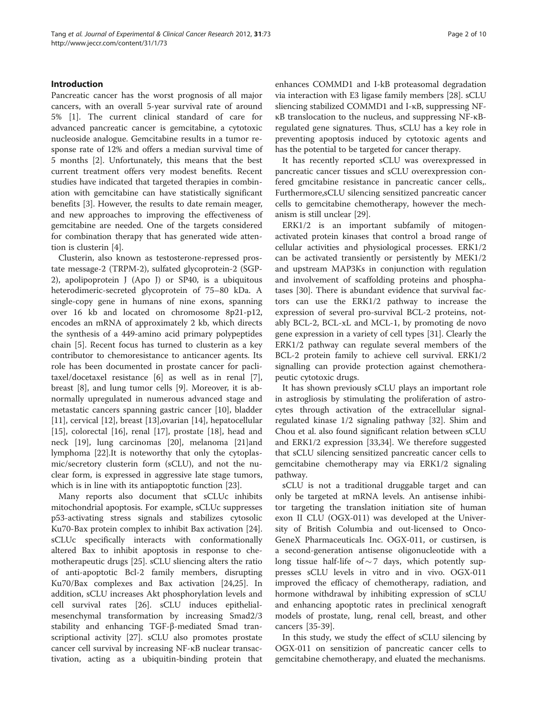# Introduction

Pancreatic cancer has the worst prognosis of all major cancers, with an overall 5-year survival rate of around 5% [\[1](#page-8-0)]. The current clinical standard of care for advanced pancreatic cancer is gemcitabine, a cytotoxic nucleoside analogue. Gemcitabine results in a tumor response rate of 12% and offers a median survival time of 5 months [[2](#page-8-0)]. Unfortunately, this means that the best current treatment offers very modest benefits. Recent studies have indicated that targeted therapies in combination with gemcitabine can have statistically significant benefits [[3\]](#page-8-0). However, the results to date remain meager, and new approaches to improving the effectiveness of gemcitabine are needed. One of the targets considered for combination therapy that has generated wide attention is clusterin [[4](#page-8-0)].

Clusterin, also known as testosterone-repressed prostate message-2 (TRPM-2), sulfated glycoprotein-2 (SGP-2), apolipoprotein J (Apo J) or SP40, is a ubiquitous heterodimeric-secreted glycoprotein of 75–80 kDa. A single-copy gene in humans of nine exons, spanning over 16 kb and located on chromosome 8p21-p12, encodes an mRNA of approximately 2 kb, which directs the synthesis of a 449-amino acid primary polypeptides chain [[5\]](#page-8-0). Recent focus has turned to clusterin as a key contributor to chemoresistance to anticancer agents. Its role has been documented in prostate cancer for paclitaxel/docetaxel resistance [[6\]](#page-8-0) as well as in renal [\[7](#page-8-0)], breast [\[8](#page-8-0)], and lung tumor cells [[9\]](#page-8-0). Moreover, it is abnormally upregulated in numerous advanced stage and metastatic cancers spanning gastric cancer [\[10\]](#page-8-0), bladder [[11\]](#page-8-0), cervical [\[12\]](#page-8-0), breast [[13\]](#page-8-0), ovarian [\[14\]](#page-8-0), hepatocellular [[15\]](#page-8-0), colorectal [\[16](#page-8-0)], renal [\[17](#page-8-0)], prostate [[18\]](#page-8-0), head and neck [[19\]](#page-8-0), lung carcinomas [\[20](#page-8-0)], melanoma [[21](#page-8-0)]and lymphoma [\[22](#page-8-0)].It is noteworthy that only the cytoplasmic/secretory clusterin form (sCLU), and not the nuclear form, is expressed in aggressive late stage tumors, which is in line with its antiapoptotic function [[23\]](#page-8-0).

Many reports also document that sCLUc inhibits mitochondrial apoptosis. For example, sCLUc suppresses p53-activating stress signals and stabilizes cytosolic Ku70-Bax protein complex to inhibit Bax activation [\[24](#page-8-0)]. sCLUc specifically interacts with conformationally altered Bax to inhibit apoptosis in response to chemotherapeutic drugs [[25\]](#page-8-0). sCLU sliencing alters the ratio of anti-apoptotic Bcl-2 family members, disrupting Ku70/Bax complexes and Bax activation [[24,25\]](#page-8-0). In addition, sCLU increases Akt phosphorylation levels and cell survival rates [[26\]](#page-8-0). sCLU induces epithelialmesenchymal transformation by increasing Smad2/3 stability and enhancing TGF-β-mediated Smad transcriptional activity [[27\]](#page-8-0). sCLU also promotes prostate cancer cell survival by increasing NF-κB nuclear transactivation, acting as a ubiquitin-binding protein that enhances COMMD1 and I-kB proteasomal degradation via interaction with E3 ligase family members [[28](#page-8-0)]. sCLU sliencing stabilized COMMD1 and I-κB, suppressing NFκB translocation to the nucleus, and suppressing NF-κBregulated gene signatures. Thus, sCLU has a key role in preventing apoptosis induced by cytotoxic agents and has the potential to be targeted for cancer therapy.

It has recently reported sCLU was overexpressed in pancreatic cancer tissues and sCLU overexpression confered gmcitabine resistance in pancreatic cancer cells,. Furthermore,sCLU silencing sensitized pancreatic cancer cells to gemcitabine chemotherapy, however the mechanism is still unclear [\[29\]](#page-8-0).

ERK1/2 is an important subfamily of mitogenactivated protein kinases that control a broad range of cellular activities and physiological processes. ERK1/2 can be activated transiently or persistently by MEK1/2 and upstream MAP3Ks in conjunction with regulation and involvement of scaffolding proteins and phosphatases [\[30\]](#page-8-0). There is abundant evidence that survival factors can use the ERK1/2 pathway to increase the expression of several pro-survival BCL-2 proteins, notably BCL-2, BCL-xL and MCL-1, by promoting de novo gene expression in a variety of cell types [[31\]](#page-8-0). Clearly the ERK1/2 pathway can regulate several members of the BCL-2 protein family to achieve cell survival. ERK1/2 signalling can provide protection against chemotherapeutic cytotoxic drugs.

It has shown previously sCLU plays an important role in astrogliosis by stimulating the proliferation of astrocytes through activation of the extracellular signalregulated kinase 1/2 signaling pathway [[32\]](#page-8-0). Shim and Chou et al. also found significant relation between sCLU and ERK1/2 expression [\[33,34\]](#page-8-0). We therefore suggested that sCLU silencing sensitized pancreatic cancer cells to gemcitabine chemotherapy may via ERK1/2 signaling pathway.

sCLU is not a traditional druggable target and can only be targeted at mRNA levels. An antisense inhibitor targeting the translation initiation site of human exon II CLU (OGX-011) was developed at the University of British Columbia and out-licensed to Onco-GeneX Pharmaceuticals Inc. OGX-011, or custirsen, is a second-generation antisense oligonucleotide with a long tissue half-life of  $\sim$  7 days, which potently suppresses sCLU levels in vitro and in vivo. OGX-011 improved the efficacy of chemotherapy, radiation, and hormone withdrawal by inhibiting expression of sCLU and enhancing apoptotic rates in preclinical xenograft models of prostate, lung, renal cell, breast, and other cancers [[35](#page-8-0)[-39](#page-9-0)].

In this study, we study the effect of sCLU silencing by OGX-011 on sensitizion of pancreatic cancer cells to gemcitabine chemotherapy, and eluated the mechanisms.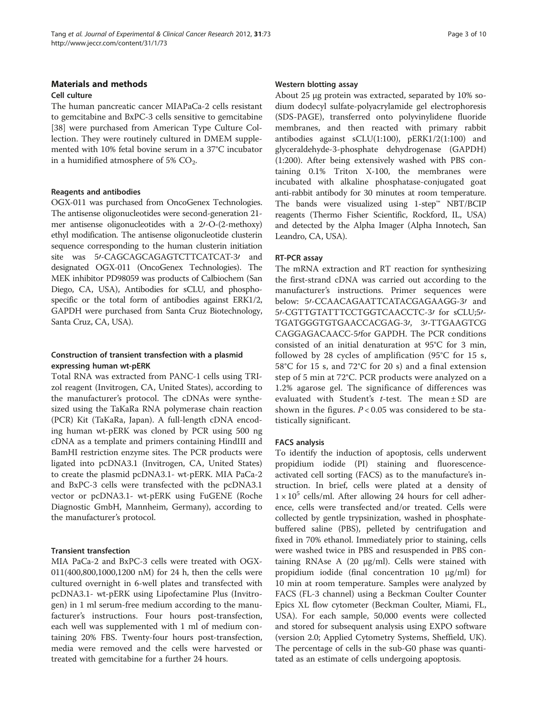# Materials and methods

# Cell culture

The human pancreatic cancer MIAPaCa-2 cells resistant to gemcitabine and BxPC-3 cells sensitive to gemcitabine [[38\]](#page-9-0) were purchased from American Type Culture Collection. They were routinely cultured in DMEM supplemented with 10% fetal bovine serum in a 37°C incubator in a humidified atmosphere of 5%  $CO<sub>2</sub>$ .

# Reagents and antibodies

OGX-011 was purchased from OncoGenex Technologies. The antisense oligonucleotides were second-generation 21 mer antisense oligonucleotides with a  $2/-O-(2-$ methoxy) ethyl modification. The antisense oligonucleotide clusterin sequence corresponding to the human clusterin initiation site was 5/-CAGCAGCAGAGTCTTCATCAT-3/ and designated OGX-011 (OncoGenex Technologies). The MEK inhibitor PD98059 was products of Calbiochem (San Diego, CA, USA), Antibodies for sCLU, and phosphospecific or the total form of antibodies against ERK1/2, GAPDH were purchased from Santa Cruz Biotechnology, Santa Cruz, CA, USA).

# Construction of transient transfection with a plasmid expressing human wt-pERK

Total RNA was extracted from PANC-1 cells using TRIzol reagent (Invitrogen, CA, United States), according to the manufacturer's protocol. The cDNAs were synthesized using the TaKaRa RNA polymerase chain reaction (PCR) Kit (TaKaRa, Japan). A full-length cDNA encoding human wt-pERK was cloned by PCR using 500 ng cDNA as a template and primers containing HindIII and BamHI restriction enzyme sites. The PCR products were ligated into pcDNA3.1 (Invitrogen, CA, United States) to create the plasmid pcDNA3.1- wt-pERK. MIA PaCa-2 and BxPC-3 cells were transfected with the pcDNA3.1 vector or pcDNA3.1- wt-pERK using FuGENE (Roche Diagnostic GmbH, Mannheim, Germany), according to the manufacturer's protocol.

# Transient transfection

MIA PaCa-2 and BxPC-3 cells were treated with OGX-011(400,800,1000,1200 nM) for 24 h, then the cells were cultured overnight in 6-well plates and transfected with pcDNA3.1- wt-pERK using Lipofectamine Plus (Invitrogen) in 1 ml serum-free medium according to the manufacturer's instructions. Four hours post-transfection, each well was supplemented with 1 ml of medium containing 20% FBS. Twenty-four hours post-transfection, media were removed and the cells were harvested or treated with gemcitabine for a further 24 hours.

### Western blotting assay

About 25 μg protein was extracted, separated by 10% sodium dodecyl sulfate-polyacrylamide gel electrophoresis (SDS-PAGE), transferred onto polyvinylidene fluoride membranes, and then reacted with primary rabbit antibodies against sCLU(1:100), pERK1/2(1:100) and glyceraldehyde-3-phosphate dehydrogenase (GAPDH) (1:200). After being extensively washed with PBS containing 0.1% Triton X-100, the membranes were incubated with alkaline phosphatase-conjugated goat anti-rabbit antibody for 30 minutes at room temperature. The bands were visualized using 1-step™ NBT/BCIP reagents (Thermo Fisher Scientific, Rockford, IL, USA) and detected by the Alpha Imager (Alpha Innotech, San Leandro, CA, USA).

# RT-PCR assay

The mRNA extraction and RT reaction for synthesizing the first-strand cDNA was carried out according to the manufacturer's instructions. Primer sequences were below: 5/-CCAACAGAATTCATACGAGAAGG-3/ and 51-CGTTGTATTTCCTGGTCAACCTC-31 for sCLU;51-TGATGGGTGTGAACCACGAG-30, 30-TTGAAGTCG CAGGAGACAACC-5/for GAPDH. The PCR conditions consisted of an initial denaturation at 95°C for 3 min, followed by 28 cycles of amplification (95°C for 15 s, 58°C for 15 s, and 72°C for 20 s) and a final extension step of 5 min at 72°C. PCR products were analyzed on a 1.2% agarose gel. The significance of differences was evaluated with Student's  $t$ -test. The mean  $\pm$  SD are shown in the figures.  $P < 0.05$  was considered to be statistically significant.

# FACS analysis

To identify the induction of apoptosis, cells underwent propidium iodide (PI) staining and fluorescenceactivated cell sorting (FACS) as to the manufacture's instruction. In brief, cells were plated at a density of  $1 \times 10^5$  cells/ml. After allowing 24 hours for cell adherence, cells were transfected and/or treated. Cells were collected by gentle trypsinization, washed in phosphatebuffered saline (PBS), pelleted by centrifugation and fixed in 70% ethanol. Immediately prior to staining, cells were washed twice in PBS and resuspended in PBS containing RNAse A  $(20 \text{ µg/ml})$ . Cells were stained with propidium iodide (final concentration 10 μg/ml) for 10 min at room temperature. Samples were analyzed by FACS (FL-3 channel) using a Beckman Coulter Counter Epics XL flow cytometer (Beckman Coulter, Miami, FL, USA). For each sample, 50,000 events were collected and stored for subsequent analysis using EXPO software (version 2.0; Applied Cytometry Systems, Sheffield, UK). The percentage of cells in the sub-G0 phase was quantitated as an estimate of cells undergoing apoptosis.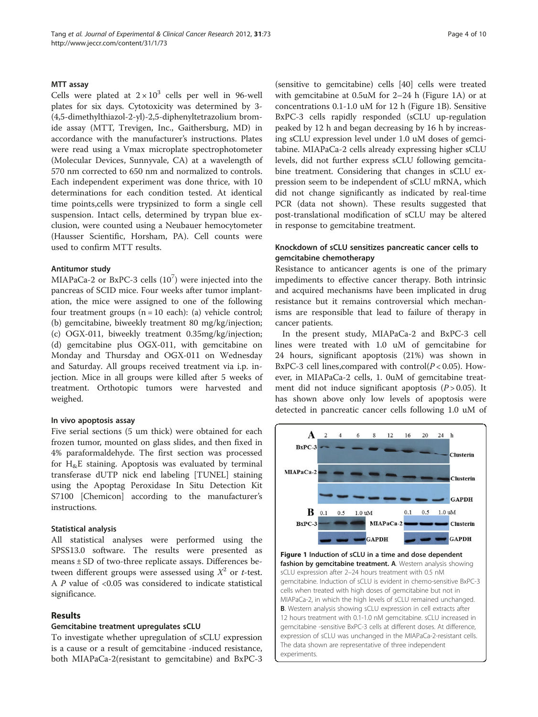### MTT assay

Cells were plated at  $2 \times 10^3$  cells per well in 96-well plates for six days. Cytotoxicity was determined by 3- (4,5-dimethylthiazol-2-yl)-2,5-diphenyltetrazolium bromide assay (MTT, Trevigen, Inc., Gaithersburg, MD) in accordance with the manufacturer's instructions. Plates were read using a Vmax microplate spectrophotometer (Molecular Devices, Sunnyvale, CA) at a wavelength of 570 nm corrected to 650 nm and normalized to controls. Each independent experiment was done thrice, with 10 determinations for each condition tested. At identical time points,cells were trypsinized to form a single cell suspension. Intact cells, determined by trypan blue exclusion, were counted using a Neubauer hemocytometer (Hausser Scientific, Horsham, PA). Cell counts were used to confirm MTT results.

#### Antitumor study

MIAPaCa-2 or BxPC-3 cells  $(10^7)$  were injected into the pancreas of SCID mice. Four weeks after tumor implantation, the mice were assigned to one of the following four treatment groups  $(n = 10 \text{ each})$ : (a) vehicle control; (b) gemcitabine, biweekly treatment 80 mg/kg/injection; (c) OGX-011, biweekly treatment 0.35mg/kg/injection; (d) gemcitabine plus OGX-011, with gemcitabine on Monday and Thursday and OGX-011 on Wednesday and Saturday. All groups received treatment via i.p. injection. Mice in all groups were killed after 5 weeks of treatment. Orthotopic tumors were harvested and weighed.

## In vivo apoptosis assay

Five serial sections (5 um thick) were obtained for each frozen tumor, mounted on glass slides, and then fixed in 4% paraformaldehyde. The first section was processed for  $H_{\&}E$  staining. Apoptosis was evaluated by terminal transferase dUTP nick end labeling [TUNEL] staining using the Apoptag Peroxidase In Situ Detection Kit S7100 [Chemicon] according to the manufacturer's instructions.

#### Statistical analysis

All statistical analyses were performed using the SPSS13.0 software. The results were presented as means ± SD of two-three replicate assays. Differences between different groups were assessed using  $X^2$  or *t*-test. A  $P$  value of <0.05 was considered to indicate statistical significance.

# Results

#### Gemcitabine treatment upregulates sCLU

To investigate whether upregulation of sCLU expression is a cause or a result of gemcitabine -induced resistance, both MIAPaCa-2(resistant to gemcitabine) and BxPC-3 (sensitive to gemcitabine) cells [[40\]](#page-9-0) cells were treated with gemcitabine at 0.5uM for 2–24 h (Figure 1A) or at concentrations 0.1-1.0 uM for 12 h (Figure 1B). Sensitive BxPC-3 cells rapidly responded (sCLU up-regulation peaked by 12 h and began decreasing by 16 h by increasing sCLU expression level under 1.0 uM doses of gemcitabine. MIAPaCa-2 cells already expressing higher sCLU levels, did not further express sCLU following gemcitabine treatment. Considering that changes in sCLU expression seem to be independent of sCLU mRNA, which did not change significantly as indicated by real-time PCR (data not shown). These results suggested that post-translational modification of sCLU may be altered in response to gemcitabine treatment.

# Knockdown of sCLU sensitizes pancreatic cancer cells to gemcitabine chemotherapy

Resistance to anticancer agents is one of the primary impediments to effective cancer therapy. Both intrinsic and acquired mechanisms have been implicated in drug resistance but it remains controversial which mechanisms are responsible that lead to failure of therapy in cancer patients.

In the present study, MIAPaCa-2 and BxPC-3 cell lines were treated with 1.0 uM of gemcitabine for 24 hours, significant apoptosis (21%) was shown in BxPC-3 cell lines, compared with control( $P < 0.05$ ). However, in MIAPaCa-2 cells, 1. 0uM of gemcitabine treatment did not induce significant apoptosis  $(P > 0.05)$ . It has shown above only low levels of apoptosis were detected in pancreatic cancer cells following 1.0 uM of



Figure 1 Induction of sCLU in a time and dose dependent fashion by gemcitabine treatment. A. Western analysis showing sCLU expression after 2–24 hours treatment with 0.5 nM gemcitabine. Induction of sCLU is evident in chemo-sensitive BxPC-3 cells when treated with high doses of gemcitabine but not in MIAPaCa-2, in which the high levels of sCLU remained unchanged. B. Western analysis showing sCLU expression in cell extracts after 12 hours treatment with 0.1-1.0 nM gemcitabine. sCLU increased in gemcitabine -sensitive BxPC-3 cells at different doses. At difference, expression of sCLU was unchanged in the MIAPaCa-2-resistant cells. The data shown are representative of three independent experiments.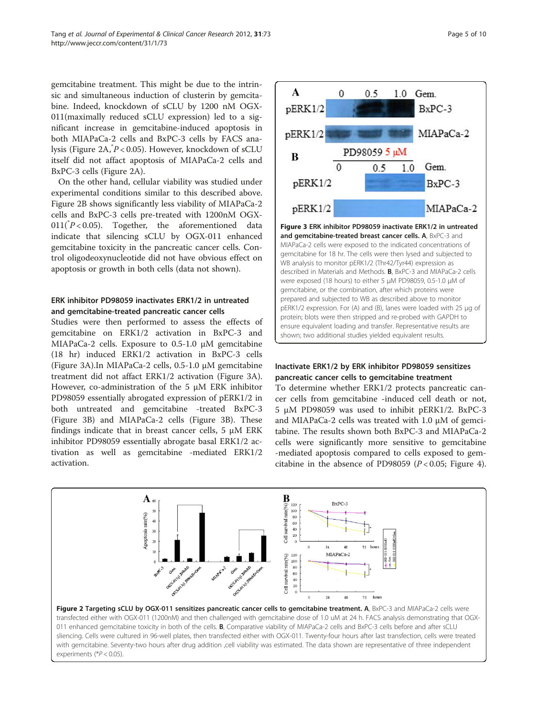<span id="page-4-0"></span>gemcitabine treatment. This might be due to the intrinsic and simultaneous induction of clusterin by gemcitabine. Indeed, knockdown of sCLU by 1200 nM OGX-011(maximally reduced sCLU expression) led to a significant increase in gemcitabine-induced apoptosis in both MIAPaCa-2 cells and BxPC-3 cells by FACS analysis (Figure 2A,\* P < 0.05). However, knockdown of sCLU itself did not affact apoptosis of MIAPaCa-2 cells and BxPC-3 cells (Figure 2A).

On the other hand, cellular viability was studied under experimental conditions similar to this described above. Figure 2B shows significantly less viability of MIAPaCa-2 cells and BxPC-3 cells pre-treated with 1200nM OGX- $011(^{\degree}P<0.05)$ . Together, the aforementioned data indicate that silencing sCLU by OGX-011 enhanced gemcitabine toxicity in the pancreatic cancer cells. Control oligodeoxynucleotide did not have obvious effect on apoptosis or growth in both cells (data not shown).

# ERK inhibitor PD98059 inactivates ERK1/2 in untreated and gemcitabine-treated pancreatic cancer cells

Studies were then performed to assess the effects of gemcitabine on ERK1/2 activation in BxPC-3 and MIAPaCa-2 cells. Exposure to 0.5-1.0 μM gemcitabine (18 hr) induced ERK1/2 activation in BxPC-3 cells (Figure 3A).In MIAPaCa-2 cells, 0.5-1.0 μM gemcitabine treatment did not affact ERK1/2 activation (Figure 3A). However, co-administration of the 5 μM ERK inhibitor PD98059 essentially abrogated expression of pERK1/2 in both untreated and gemcitabine -treated BxPC-3 (Figure 3B) and MIAPaCa-2 cells (Figure 3B). These findings indicate that in breast cancer cells, 5 μM ERK inhibitor PD98059 essentially abrogate basal ERK1/2 activation as well as gemcitabine -mediated ERK1/2 activation.



Figure 3 ERK inhibitor PD98059 inactivate ERK1/2 in untreated and gemcitabine-treated breast cancer cells. A, BxPC-3 and MIAPaCa-2 cells were exposed to the indicated concentrations of gemcitabine for 18 hr. The cells were then lysed and subjected to WB analysis to monitor pERK1/2 (Thr42/Tyr44) expression as described in Materials and Methods. B, BxPC-3 and MIAPaCa-2 cells were exposed (18 hours) to either 5 μM PD98059, 0.5-1.0 μM of gemcitabine, or the combination, after which proteins were prepared and subjected to WB as described above to monitor pERK1/2 expression. For (A) and (B), lanes were loaded with 25 μg of protein; blots were then stripped and re-probed with GAPDH to ensure equivalent loading and transfer. Representative results are shown; two additional studies yielded equivalent results.

# Inactivate ERK1/2 by ERK inhibitor PD98059 sensitizes pancreatic cancer cells to gemcitabine treatment

To determine whether ERK1/2 protects pancreatic cancer cells from gemcitabine -induced cell death or not, 5 μM PD98059 was used to inhibit pERK1/2. BxPC-3 and MIAPaCa-2 cells was treated with 1.0 μM of gemcitabine. The results shown both BxPC-3 and MIAPaCa-2 cells were significantly more sensitive to gemcitabine -mediated apoptosis compared to cells exposed to gemcitabine in the absence of PD98059 ( $P < 0.05$ ; Figure [4](#page-5-0)).



011 enhanced gemcitabine toxicity in both of the cells. B, Comparative viability of MIAPaCa-2 cells and BxPC-3 cells before and after sCLU sliencing. Cells were cultured in 96-well plates, then transfected either with OGX-011. Twenty-four hours after last transfection, cells were treated with gemcitabine. Seventy-two hours after drug addition ,cell viability was estimated. The data shown are representative of three independent experiments (\*P < 0.05).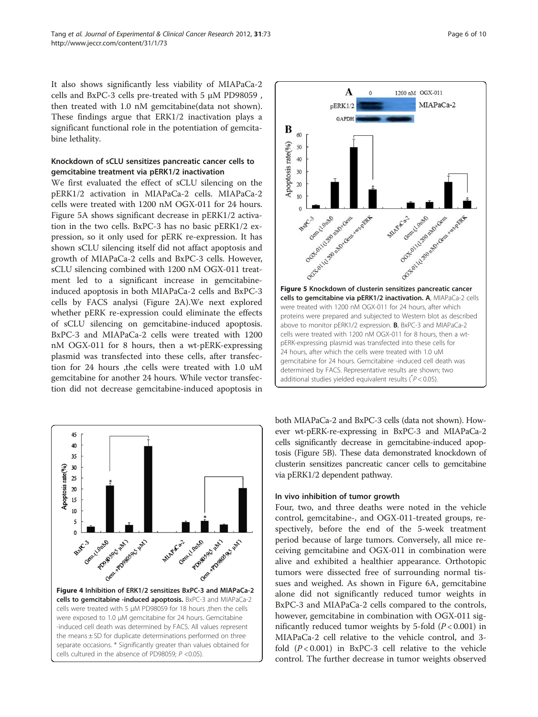<span id="page-5-0"></span>It also shows significantly less viability of MIAPaCa-2 cells and BxPC-3 cells pre-treated with 5 μM PD98059 , then treated with 1.0 nM gemcitabine(data not shown). These findings argue that ERK1/2 inactivation plays a significant functional role in the potentiation of gemcitabine lethality.

# Knockdown of sCLU sensitizes pancreatic cancer cells to gemcitabine treatment via pERK1/2 inactivation

We first evaluated the effect of sCLU silencing on the pERK1/2 activation in MIAPaCa-2 cells. MIAPaCa-2 cells were treated with 1200 nM OGX-011 for 24 hours. Figure 5A shows significant decrease in pERK1/2 activation in the two cells. BxPC-3 has no basic pERK1/2 expression, so it only used for pERK re-expression. It has shown sCLU silencing itself did not affact apoptosis and growth of MIAPaCa-2 cells and BxPC-3 cells. However, sCLU silencing combined with 1200 nM OGX-011 treatment led to a significant increase in gemcitabineinduced apoptosis in both MIAPaCa-2 cells and BxPC-3 cells by FACS analysi (Figure [2A\)](#page-4-0).We next explored whether pERK re-expression could eliminate the effects of sCLU silencing on gemcitabine-induced apoptosis. BxPC-3 and MIAPaCa-2 cells were treated with 1200 nM OGX-011 for 8 hours, then a wt-pERK-expressing plasmid was transfected into these cells, after transfection for 24 hours ,the cells were treated with 1.0 uM gemcitabine for another 24 hours. While vector transfection did not decrease gemcitabine-induced apoptosis in





both MIAPaCa-2 and BxPC-3 cells (data not shown). However wt-pERK-re-expressing in BxPC-3 and MIAPaCa-2 cells significantly decrease in gemcitabine-induced apoptosis (Figure 5B). These data demonstrated knockdown of clusterin sensitizes pancreatic cancer cells to gemcitabine via pERK1/2 dependent pathway.

# In vivo inhibition of tumor growth

Four, two, and three deaths were noted in the vehicle control, gemcitabine-, and OGX-011-treated groups, respectively, before the end of the 5-week treatment period because of large tumors. Conversely, all mice receiving gemcitabine and OGX-011 in combination were alive and exhibited a healthier appearance. Orthotopic tumors were dissected free of surrounding normal tissues and weighed. As shown in Figure [6A](#page-6-0), gemcitabine alone did not significantly reduced tumor weights in BxPC-3 and MIAPaCa-2 cells compared to the controls, however, gemcitabine in combination with OGX-011 significantly reduced tumor weights by 5-fold  $(P < 0.001)$  in MIAPaCa-2 cell relative to the vehicle control, and 3 fold  $(P<0.001)$  in BxPC-3 cell relative to the vehicle control. The further decrease in tumor weights observed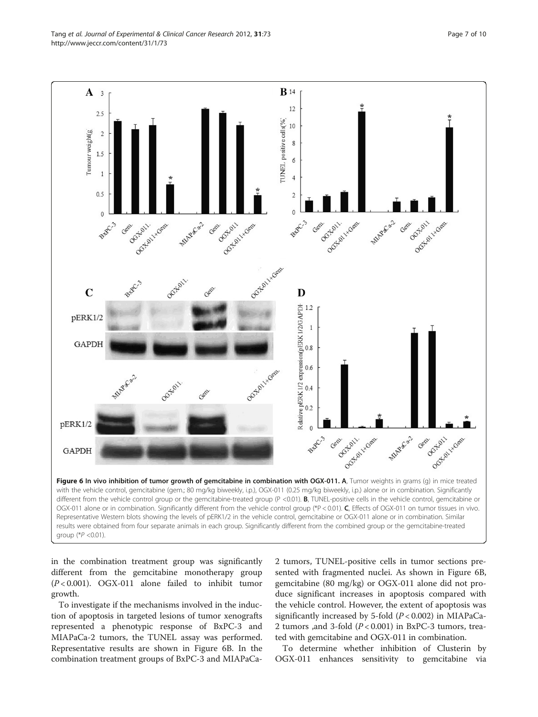<span id="page-6-0"></span>Tang et al. Journal of Experimental & Clinical Cancer Research 2012, 31:73 Page 7 of 10 http://www.jeccr.com/content/31/1/73



in the combination treatment group was significantly different from the gemcitabine monotherapy group  $(P<0.001)$ . OGX-011 alone failed to inhibit tumor growth.

To investigate if the mechanisms involved in the induction of apoptosis in targeted lesions of tumor xenografts represented a phenotypic response of BxPC-3 and MIAPaCa-2 tumors, the TUNEL assay was performed. Representative results are shown in Figure 6B. In the combination treatment groups of BxPC-3 and MIAPaCa2 tumors, TUNEL-positive cells in tumor sections presented with fragmented nuclei. As shown in Figure 6B, gemcitabine (80 mg/kg) or OGX-011 alone did not produce significant increases in apoptosis compared with the vehicle control. However, the extent of apoptosis was significantly increased by 5-fold  $(P< 0.002)$  in MIAPaCa-2 tumors ,and 3-fold  $(P < 0.001)$  in BxPC-3 tumors, treated with gemcitabine and OGX-011 in combination.

To determine whether inhibition of Clusterin by OGX-011 enhances sensitivity to gemcitabine via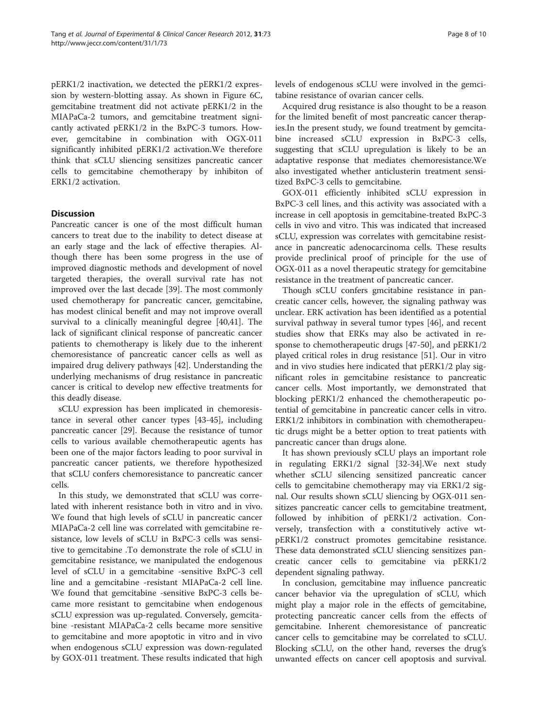pERK1/2 inactivation, we detected the pERK1/2 expression by western-blotting assay. As shown in Figure [6C](#page-6-0), gemcitabine treatment did not activate pERK1/2 in the MIAPaCa-2 tumors, and gemcitabine treatment signicantly activated pERK1/2 in the BxPC-3 tumors. However, gemcitabine in combination with OGX-011 significantly inhibited pERK1/2 activation.We therefore think that sCLU sliencing sensitizes pancreatic cancer cells to gemcitabine chemotherapy by inhibiton of ERK1/2 activation.

# **Discussion**

Pancreatic cancer is one of the most difficult human cancers to treat due to the inability to detect disease at an early stage and the lack of effective therapies. Although there has been some progress in the use of improved diagnostic methods and development of novel targeted therapies, the overall survival rate has not improved over the last decade [[39](#page-9-0)]. The most commonly used chemotherapy for pancreatic cancer, gemcitabine, has modest clinical benefit and may not improve overall survival to a clinically meaningful degree [\[40,41](#page-9-0)]. The lack of significant clinical response of pancreatic cancer patients to chemotherapy is likely due to the inherent chemoresistance of pancreatic cancer cells as well as impaired drug delivery pathways [\[42\]](#page-9-0). Understanding the underlying mechanisms of drug resistance in pancreatic cancer is critical to develop new effective treatments for this deadly disease.

sCLU expression has been implicated in chemoresistance in several other cancer types [[43](#page-9-0)-[45\]](#page-9-0), including pancreatic cancer [[29](#page-8-0)]. Because the resistance of tumor cells to various available chemotherapeutic agents has been one of the major factors leading to poor survival in pancreatic cancer patients, we therefore hypothesized that sCLU confers chemoresistance to pancreatic cancer cells.

In this study, we demonstrated that sCLU was correlated with inherent resistance both in vitro and in vivo. We found that high levels of sCLU in pancreatic cancer MIAPaCa-2 cell line was correlated with gemcitabine resistance, low levels of sCLU in BxPC-3 cells was sensitive to gemcitabine .To demonstrate the role of sCLU in gemcitabine resistance, we manipulated the endogenous level of sCLU in a gemcitabine -sensitive BxPC-3 cell line and a gemcitabine -resistant MIAPaCa-2 cell line. We found that gemcitabine -sensitive BxPC-3 cells became more resistant to gemcitabine when endogenous sCLU expression was up-regulated. Conversely, gemcitabine -resistant MIAPaCa-2 cells became more sensitive to gemcitabine and more apoptotic in vitro and in vivo when endogenous sCLU expression was down-regulated by GOX-011 treatment. These results indicated that high levels of endogenous sCLU were involved in the gemcitabine resistance of ovarian cancer cells.

Acquired drug resistance is also thought to be a reason for the limited benefit of most pancreatic cancer therapies.In the present study, we found treatment by gemcitabine increased sCLU expression in BxPC-3 cells, suggesting that sCLU upregulation is likely to be an adaptative response that mediates chemoresistance.We also investigated whether anticlusterin treatment sensitized BxPC-3 cells to gemcitabine.

GOX-011 efficiently inhibited sCLU expression in BxPC-3 cell lines, and this activity was associated with a increase in cell apoptosis in gemcitabine-treated BxPC-3 cells in vivo and vitro. This was indicated that increased sCLU, expression was correlates with gemcitabine resistance in pancreatic adenocarcinoma cells. These results provide preclinical proof of principle for the use of OGX-011 as a novel therapeutic strategy for gemcitabine resistance in the treatment of pancreatic cancer.

Though sCLU confers gmcitabine resistance in pancreatic cancer cells, however, the signaling pathway was unclear. ERK activation has been identified as a potential survival pathway in several tumor types [[46\]](#page-9-0), and recent studies show that ERKs may also be activated in response to chemotherapeutic drugs [\[47](#page-9-0)-[50](#page-9-0)], and pERK1/2 played critical roles in drug resistance [\[51](#page-9-0)]. Our in vitro and in vivo studies here indicated that pERK1/2 play significant roles in gemcitabine resistance to pancreatic cancer cells. Most importantly, we demonstrated that blocking pERK1/2 enhanced the chemotherapeutic potential of gemcitabine in pancreatic cancer cells in vitro. ERK1/2 inhibitors in combination with chemotherapeutic drugs might be a better option to treat patients with pancreatic cancer than drugs alone.

It has shown previously sCLU plays an important role in regulating ERK1/2 signal [\[32-34](#page-8-0)].We next study whether sCLU silencing sensitized pancreatic cancer cells to gemcitabine chemotherapy may via ERK1/2 signal. Our results shown sCLU sliencing by OGX-011 sensitizes pancreatic cancer cells to gemcitabine treatment, followed by inhibition of pERK1/2 activation. Conversely, transfection with a constitutively active wtpERK1/2 construct promotes gemcitabine resistance. These data demonstrated sCLU sliencing sensitizes pancreatic cancer cells to gemcitabine via pERK1/2 dependent signaling pathway.

In conclusion, gemcitabine may influence pancreatic cancer behavior via the upregulation of sCLU, which might play a major role in the effects of gemcitabine, protecting pancreatic cancer cells from the effects of gemcitabine. Inherent chemoresistance of pancreatic cancer cells to gemcitabine may be correlated to sCLU. Blocking sCLU, on the other hand, reverses the drug's unwanted effects on cancer cell apoptosis and survival.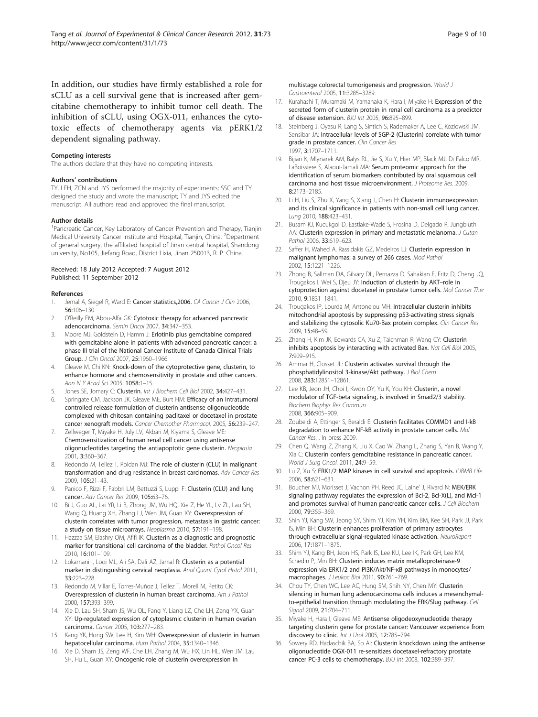<span id="page-8-0"></span>In addition, our studies have firmly established a role for sCLU as a cell survival gene that is increased after gemcitabine chemotherapy to inhibit tumor cell death. The inhibition of sCLU, using OGX-011, enhances the cytotoxic effects of chemotherapy agents via pERK1/2 dependent signaling pathway.

#### Competing interests

The authors declare that they have no competing interests.

#### Authors' contributions

TY, LFH, ZCN and JYS performed the majority of experiments; SSC and TY designed the study and wrote the manuscript; TY and JYS edited the manuscript. All authors read and approved the final manuscript.

#### Author details

<sup>1</sup>Pancreatic Cancer, Key Laboratory of Cancer Prevention and Therapy, Tianjin Medical University Cancer Institute and Hospital, Tianjin, China. <sup>2</sup>Department of general surgery, the affiliated hospital of Jinan central hospital, Shandong university, No105, Jiefang Road, District Lixia, Jinan 250013, R. P. China.

#### Received: 18 July 2012 Accepted: 7 August 2012 Published: 11 September 2012

#### References

- 1. Jemal A, Siegel R, Ward E: Cancer statistics, 2006. CA Cancer J Clin 2006, 56:106–130.
- 2. O'Reilly EM, Abou-Alfa GK: Cytotoxic therapy for advanced pancreatic adenocarcinoma. Semin Oncol 2007, 34:347–353.
- Moore MJ, Goldstein D, Hamm J: Erlotinib plus gemcitabine compared with gemcitabine alone in patients with advanced pancreatic cancer: a phase III trial of the National Cancer Institute of Canada Clinical Trials Group. J Clin Oncol 2007, 25:1960–1966.
- 4. Gleave M, Chi KN: Knock-down of the cytoprotective gene, clusterin, to enhance hormone and chemosensitivity in prostate and other cancers. Ann N Y Acad Sci 2005, 1058:1–15.
- 5. Jones SE, Jomary C: Clusterin. Int J Biochem Cell Biol 2002, 34:427-431.
- Springate CM, Jackson JK, Gleave ME, Burt HM: Efficacy of an intratumoral controlled release formulation of clusterin antisense oligonucleotide complexed with chitosan containing paclitaxel or docetaxel in prostate cancer xenograft models. Cancer Chemother Pharmacol. 2005, 56:239–247.
- 7. Zellweger T, Miyake H, July LV, Akbari M, Kiyama S, Gleave ME: Chemosensitization of human renal cell cancer using antisense oligonucleotides targeting the antiapoptotic gene clusterin. Neoplasia 2001, 3:360–367.
- 8. Redondo M, Tellez T, Roldan MJ: The role of clusterin (CLU) in malignant transformation and drug resistance in breast carcinomas. Adv Cancer Res 2009, 105:21–43.
- 9. Panico F, Rizzi F, Fabbri LM, Bettuzzi S, Luppi F: Clusterin (CLU) and lung cancer. Adv Cancer Res 2009, 105:63–76.
- 10. Bi J, Guo AL, Lai YR, Li B, Zhong JM, Wu HQ, Xie Z, He YL, Lv ZL, Lau SH, Wang Q, Huang XH, Zhang LJ, Wen JM, Guan XY: Overexpression of clusterin correlates with tumor progression, metastasis in gastric cancer: a study on tissue microarrays. Neoplasma 2010, 57:191-198.
- 11. Hazzaa SM, Elashry OM, Afifi IK: Clusterin as a diagnostic and prognostic marker for transitional cell carcinoma of the bladder. Pathol Oncol Res 2010, 16:101–109.
- 12. Lokamani I, Looi ML, Ali SA, Dali AZ, Jamal R: Clusterin as a potential marker in distinguishing cervical neoplasia. Anal Quant Cytol Histol 2011, 33:223–228.
- 13. Redondo M, Villar E, Torres-Muñoz J, Tellez T, Morell M, Petito CK: Overexpression of clusterin in human breast carcinoma. Am J Pathol 2000, 157:393–399.
- 14. Xie D, Lau SH, Sham JS, Wu QL, Fang Y, Liang LZ, Che LH, Zeng YX, Guan XY: Up-regulated expression of cytoplasmic clusterin in human ovarian carcinoma. Cancer 2005, 103:277–283.
- 15. Kang YK, Hong SW, Lee H, Kim WH: Overexpression of clusterin in human hepatocellular carcinoma. Hum Pathol 2004, 35:1340–1346.
- 16. Xie D, Sham JS, Zeng WF, Che LH, Zhang M, Wu HX, Lin HL, Wen JM, Lau SH, Hu L, Guan XY: Oncogenic role of clusterin overexpression in

multistage colorectal tumorigenesis and progression. World J Gastroenterol 2005, 11:3285–3289.

- 17. Kurahashi T, Muramaki M, Yamanaka K, Hara I, Miyake H: Expression of the secreted form of clusterin protein in renal cell carcinoma as a predictor of disease extension. BJU Int 2005, 96:895–899.
- 18. Steinberg J, Oyasu R, Lang S, Sintich S, Rademaker A, Lee C, Kozlowski JM, Sensibar JA: Intracellular levels of SGP-2 (Clusterin) correlate with tumor grade in prostate cancer. Clin Cancer Res 1997, 3:1707–1711.
- 19. Bijian K, Mlynarek AM, Balys RL, Jie S, Xu Y, Hier MP, Black MJ, Di Falco MR, LaBoissiere S, Alaoui-Jamali MA: Serum proteomic approach for the identification of serum biomarkers contributed by oral squamous cell carcinoma and host tissue microenvironment. J Proteome Res. 2009, 8:2173–2185.
- 20. Li H, Liu S, Zhu X, Yang S, Xiang J, Chen H: Clusterin immunoexpression and its clinical significance in patients with non-small cell lung cancer. Lung 2010, 188:423–431.
- 21. Busam KJ, Kucukgol D, Eastlake-Wade S, Frosina D, Delgado R, Jungbluth AA: Clusterin expression in primary and metastatic melanoma. J Cutan Pathol 2006, 33:619–623.
- 22. Saffer H, Wahed A, Rassidakis GZ, Medeiros LJ: Clusterin expression in malignant lymphomas: a survey of 266 cases. Mod Pathol 2002, 15:1221–1226.
- 23. Zhong B, Sallman DA, Gilvary DL, Pernazza D, Sahakian E, Fritz D, Cheng JQ, Trougakos I, Wei S, Dieu JY: Induction of clusterin by AKT-role in cytoprotection against docetaxel in prostate tumor cells. Mol Cancer Ther 2010, 9:1831–1841.
- 24. Trougakos IP, Lourda M, Antonelou MH: Intracellular clusterin inhibits mitochondrial apoptosis by suppressing p53-activating stress signals and stabilizing the cytosolic Ku70-Bax protein complex. Clin Cancer Res 2009, 15:48–59.
- 25. Zhang H, Kim JK, Edwards CA, Xu Z, Taichman R, Wang CY: Clusterin inhibits apoptosis by interacting with activated Bax. Nat Cell Biol 2005, 7:909–915.
- 26. Ammar H, Closset JL: Clusterin activates survival through the phosphatidylinositol 3-kinase/Akt pathway. J Biol Chem 2008, 283:12851–12861.
- 27. Lee KB, Jeon JH, Choi I, Kwon OY, Yu K, You KH: Clusterin, a novel modulator of TGF-beta signaling, is involved in Smad2/3 stability. Biochem Biophys Res Commun 2008, 366:905–909.
- 28. Zoubeidi A, Ettinger S, Beraldi E: Clusterin facilitates COMMD1 and I-kB degradation to enhance NF-kB activity in prostate cancer cells. Mol Cancer Res, . In press 2009.
- 29. Chen Q, Wang Z, Zhang K, Liu X, Cao W, Zhang L, Zhang S, Yan B, Wang Y, Xia C: Clusterin confers gemcitabine resistance in pancreatic cancer. World J Surg Oncol. 2011, 24:9–59.
- 30. Lu Z, Xu S: ERK1/2 MAP kinases in cell survival and apoptosis. IUBMB Life. 2006, 58:621–631.
- 31. Boucher MJ, Morisset J, Vachon PH, Reed JC, Laine' J, Rivard N: MEK/ERK signaling pathway regulates the expression of Bcl-2, Bcl-X(L), and Mcl-1 and promotes survival of human pancreatic cancer cells. J Cell Biochem 2000, 79:355–369.
- 32. Shin YJ, Kang SW, Jeong SY, Shim YJ, Kim YH, Kim BM, Kee SH, Park JJ, Park IS, Min BH: Clusterin enhances proliferation of primary astrocytes through extracellular signal-regulated kinase activation. NeuroReport 2006, 17:1871–1875.
- 33. Shim YJ, Kang BH, Jeon HS, Park IS, Lee KU, Lee IK, Park GH, Lee KM, Schedin P, Min BH: Clusterin induces matrix metalloproteinase-9 expression via ERK1/2 and PI3K/Akt/NF-κB pathways in monocytes/ macrophages. J Leukoc Biol 2011, 90:761–769.
- 34. Chou TY, Chen WC, Lee AC, Hung SM, Shih NY, Chen MY: Clusterin silencing in human lung adenocarcinoma cells induces a mesenchymalto-epithelial transition through modulating the ERK/Slug pathway. Cell Signal 2009, 21:704-711.
- 35. Miyake H, Hara I, Gleave ME: Antisense oligodeoxynucleotide therapy targeting clusterin gene for prostate cancer: Vancouver experience from discovery to clinic. Int J Urol 2005, 12:785–794.
- 36. Sowery RD, Hadaschik BA, So AI: Clusterin knockdown using the antisense oligonucleotide OGX-011 re-sensitizes docetaxel-refractory prostate cancer PC-3 cells to chemotherapy. BJU Int 2008, 102:389–397.